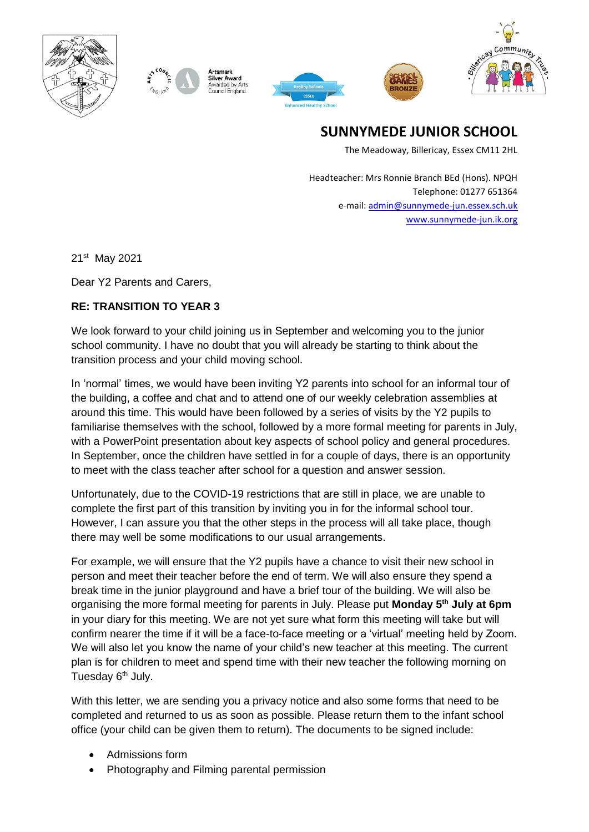



Silver Award warded by Arts







**SUNNYMEDE JUNIOR SCHOOL**

The Meadoway, Billericay, Essex CM11 2HL

Headteacher: Mrs Ronnie Branch BEd (Hons). NPQH Telephone: 01277 651364 e-mail[: admin@sunnymede-jun.essex.sch.uk](mailto:admin@sunnymede-jun.essex.sch.uk) [www.sunnymede-jun.ik.org](http://www.sunnymede-jun.ik.org/)

21<sup>st</sup> May 2021

Dear Y2 Parents and Carers,

## **RE: TRANSITION TO YEAR 3**

We look forward to your child joining us in September and welcoming you to the junior school community. I have no doubt that you will already be starting to think about the transition process and your child moving school.

In 'normal' times, we would have been inviting Y2 parents into school for an informal tour of the building, a coffee and chat and to attend one of our weekly celebration assemblies at around this time. This would have been followed by a series of visits by the Y2 pupils to familiarise themselves with the school, followed by a more formal meeting for parents in July, with a PowerPoint presentation about key aspects of school policy and general procedures. In September, once the children have settled in for a couple of days, there is an opportunity to meet with the class teacher after school for a question and answer session.

Unfortunately, due to the COVID-19 restrictions that are still in place, we are unable to complete the first part of this transition by inviting you in for the informal school tour. However, I can assure you that the other steps in the process will all take place, though there may well be some modifications to our usual arrangements.

For example, we will ensure that the Y2 pupils have a chance to visit their new school in person and meet their teacher before the end of term. We will also ensure they spend a break time in the junior playground and have a brief tour of the building. We will also be organising the more formal meeting for parents in July. Please put **Monday 5th July at 6pm** in your diary for this meeting. We are not yet sure what form this meeting will take but will confirm nearer the time if it will be a face-to-face meeting or a 'virtual' meeting held by Zoom. We will also let you know the name of your child's new teacher at this meeting. The current plan is for children to meet and spend time with their new teacher the following morning on Tuesday 6<sup>th</sup> July.

With this letter, we are sending you a privacy notice and also some forms that need to be completed and returned to us as soon as possible. Please return them to the infant school office (your child can be given them to return). The documents to be signed include:

- Admissions form
- Photography and Filming parental permission